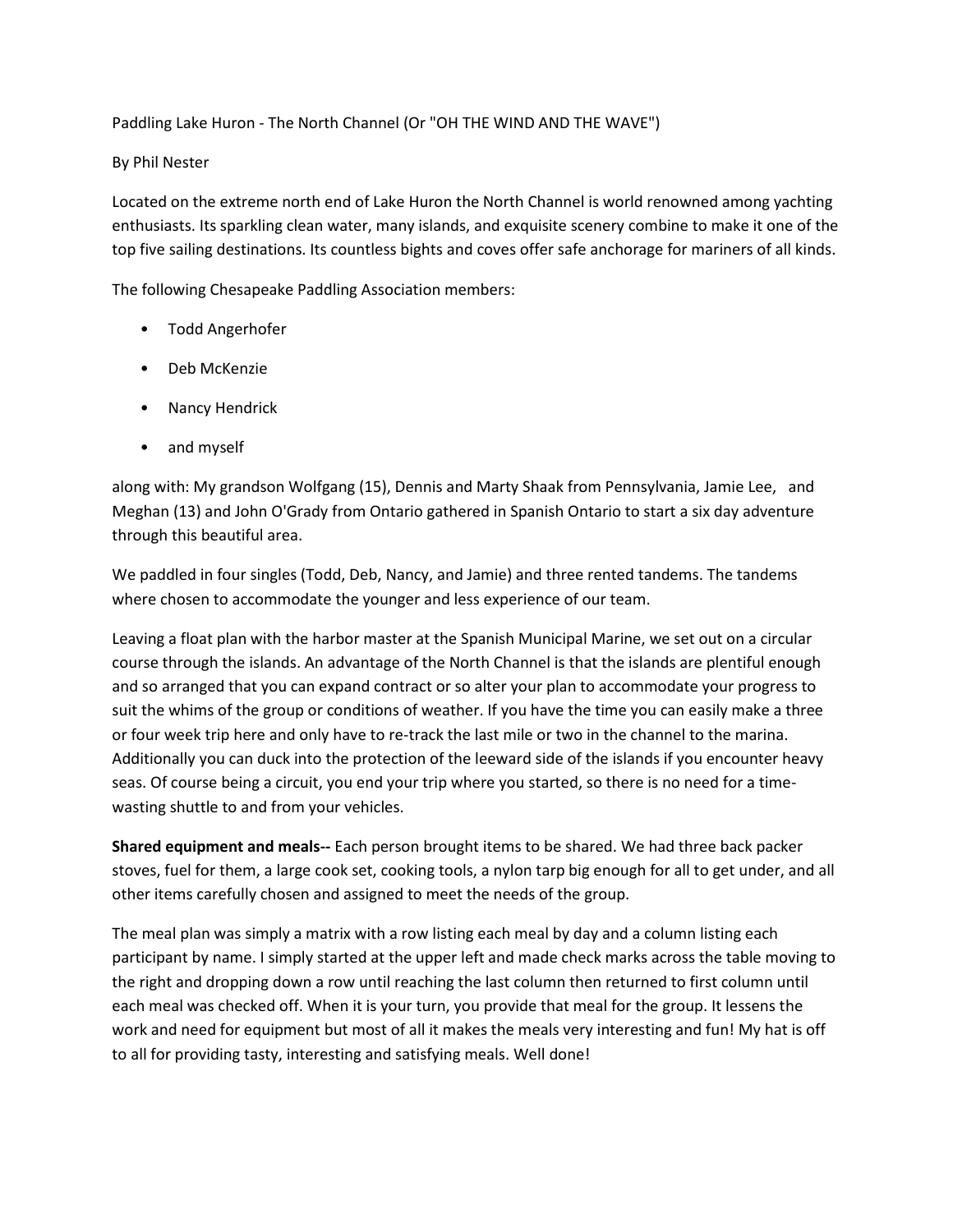Paddling Lake Huron - The North Channel (Or "OH THE WIND AND THE WAVE")

## By Phil Nester

Located on the extreme north end of Lake Huron the North Channel is world renowned among yachting enthusiasts. Its sparkling clean water, many islands, and exquisite scenery combine to make it one of the top five sailing destinations. Its countless bights and coves offer safe anchorage for mariners of all kinds.

The following Chesapeake Paddling Association members:

- Todd Angerhofer
- Deb McKenzie
- Nancy Hendrick
- and myself

along with: My grandson Wolfgang (15), Dennis and Marty Shaak from Pennsylvania, Jamie Lee, and Meghan (13) and John O'Grady from Ontario gathered in Spanish Ontario to start a six day adventure through this beautiful area.

We paddled in four singles (Todd, Deb, Nancy, and Jamie) and three rented tandems. The tandems where chosen to accommodate the younger and less experience of our team.

Leaving a float plan with the harbor master at the Spanish Municipal Marine, we set out on a circular course through the islands. An advantage of the North Channel is that the islands are plentiful enough and so arranged that you can expand contract or so alter your plan to accommodate your progress to suit the whims of the group or conditions of weather. If you have the time you can easily make a three or four week trip here and only have to re-track the last mile or two in the channel to the marina. Additionally you can duck into the protection of the leeward side of the islands if you encounter heavy seas. Of course being a circuit, you end your trip where you started, so there is no need for a timewasting shuttle to and from your vehicles.

**Shared equipment and meals--** Each person brought items to be shared. We had three back packer stoves, fuel for them, a large cook set, cooking tools, a nylon tarp big enough for all to get under, and all other items carefully chosen and assigned to meet the needs of the group.

The meal plan was simply a matrix with a row listing each meal by day and a column listing each participant by name. I simply started at the upper left and made check marks across the table moving to the right and dropping down a row until reaching the last column then returned to first column until each meal was checked off. When it is your turn, you provide that meal for the group. It lessens the work and need for equipment but most of all it makes the meals very interesting and fun! My hat is off to all for providing tasty, interesting and satisfying meals. Well done!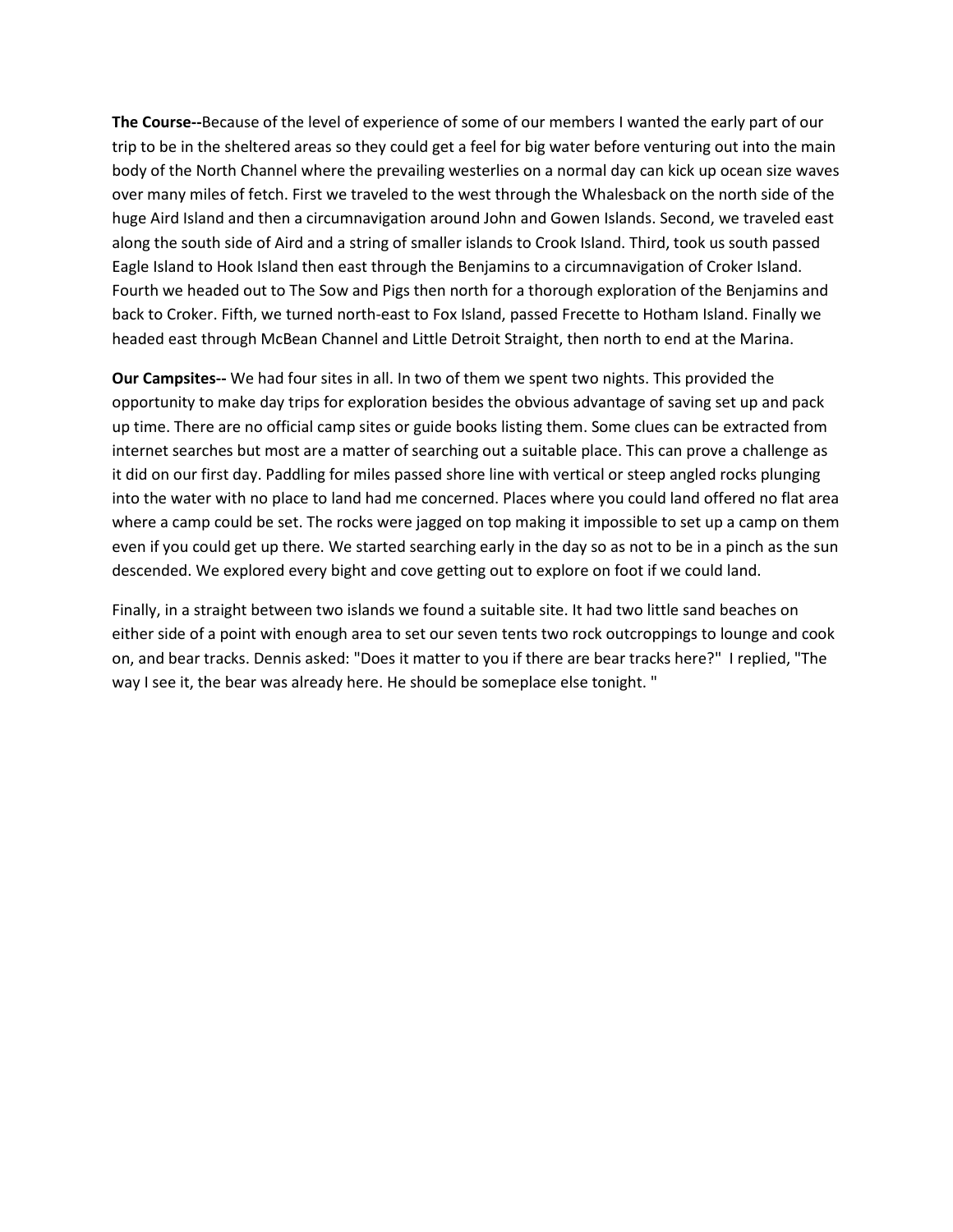**The Course--**Because of the level of experience of some of our members I wanted the early part of our trip to be in the sheltered areas so they could get a feel for big water before venturing out into the main body of the North Channel where the prevailing westerlies on a normal day can kick up ocean size waves over many miles of fetch. First we traveled to the west through the Whalesback on the north side of the huge Aird Island and then a circumnavigation around John and Gowen Islands. Second, we traveled east along the south side of Aird and a string of smaller islands to Crook Island. Third, took us south passed Eagle Island to Hook Island then east through the Benjamins to a circumnavigation of Croker Island. Fourth we headed out to The Sow and Pigs then north for a thorough exploration of the Benjamins and back to Croker. Fifth, we turned north-east to Fox Island, passed Frecette to Hotham Island. Finally we headed east through McBean Channel and Little Detroit Straight, then north to end at the Marina.

**Our Campsites--** We had four sites in all. In two of them we spent two nights. This provided the opportunity to make day trips for exploration besides the obvious advantage of saving set up and pack up time. There are no official camp sites or guide books listing them. Some clues can be extracted from internet searches but most are a matter of searching out a suitable place. This can prove a challenge as it did on our first day. Paddling for miles passed shore line with vertical or steep angled rocks plunging into the water with no place to land had me concerned. Places where you could land offered no flat area where a camp could be set. The rocks were jagged on top making it impossible to set up a camp on them even if you could get up there. We started searching early in the day so as not to be in a pinch as the sun descended. We explored every bight and cove getting out to explore on foot if we could land.

Finally, in a straight between two islands we found a suitable site. It had two little sand beaches on either side of a point with enough area to set our seven tents two rock outcroppings to lounge and cook on, and bear tracks. Dennis asked: "Does it matter to you if there are bear tracks here?" I replied, "The way I see it, the bear was already here. He should be someplace else tonight. "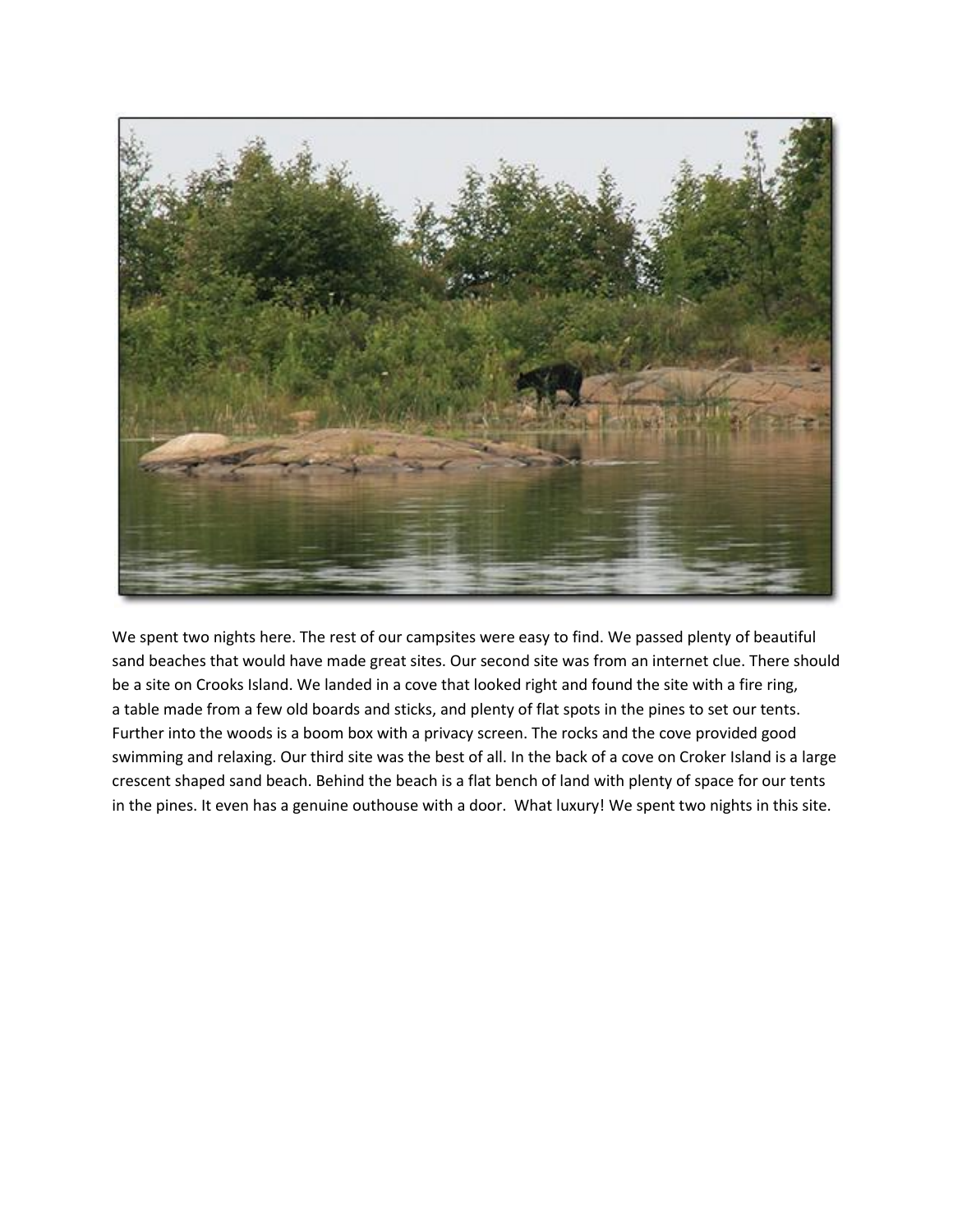

We spent two nights here. The rest of our campsites were easy to find. We passed plenty of beautiful sand beaches that would have made great sites. Our second site was from an internet clue. There should be a site on Crooks Island. We landed in a cove that looked right and found the site with a fire ring, a table made from a few old boards and sticks, and plenty of flat spots in the pines to set our tents. Further into the woods is a boom box with a privacy screen. The rocks and the cove provided good swimming and relaxing. Our third site was the best of all. In the back of a cove on Croker Island is a large crescent shaped sand beach. Behind the beach is a flat bench of land with plenty of space for our tents in the pines. It even has a genuine outhouse with a door. What luxury! We spent two nights in this site.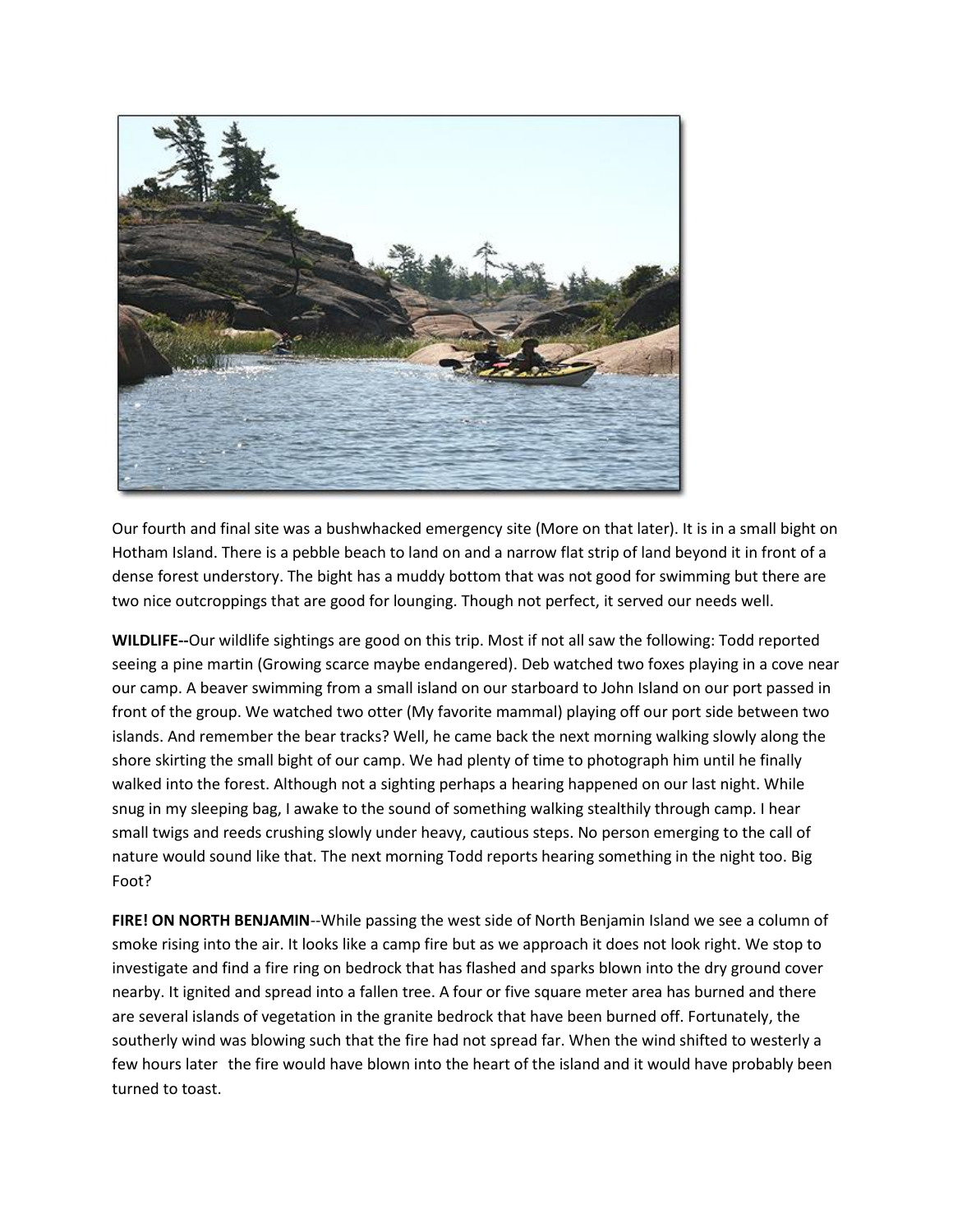

Our fourth and final site was a bushwhacked emergency site (More on that later). It is in a small bight on Hotham Island. There is a pebble beach to land on and a narrow flat strip of land beyond it in front of a dense forest understory. The bight has a muddy bottom that was not good for swimming but there are two nice outcroppings that are good for lounging. Though not perfect, it served our needs well.

**WILDLIFE--**Our wildlife sightings are good on this trip. Most if not all saw the following: Todd reported seeing a pine martin (Growing scarce maybe endangered). Deb watched two foxes playing in a cove near our camp. A beaver swimming from a small island on our starboard to John Island on our port passed in front of the group. We watched two otter (My favorite mammal) playing off our port side between two islands. And remember the bear tracks? Well, he came back the next morning walking slowly along the shore skirting the small bight of our camp. We had plenty of time to photograph him until he finally walked into the forest. Although not a sighting perhaps a hearing happened on our last night. While snug in my sleeping bag, I awake to the sound of something walking stealthily through camp. I hear small twigs and reeds crushing slowly under heavy, cautious steps. No person emerging to the call of nature would sound like that. The next morning Todd reports hearing something in the night too. Big Foot?

**FIRE! ON NORTH BENJAMIN**--While passing the west side of North Benjamin Island we see a column of smoke rising into the air. It looks like a camp fire but as we approach it does not look right. We stop to investigate and find a fire ring on bedrock that has flashed and sparks blown into the dry ground cover nearby. It ignited and spread into a fallen tree. A four or five square meter area has burned and there are several islands of vegetation in the granite bedrock that have been burned off. Fortunately, the southerly wind was blowing such that the fire had not spread far. When the wind shifted to westerly a few hours later the fire would have blown into the heart of the island and it would have probably been turned to toast.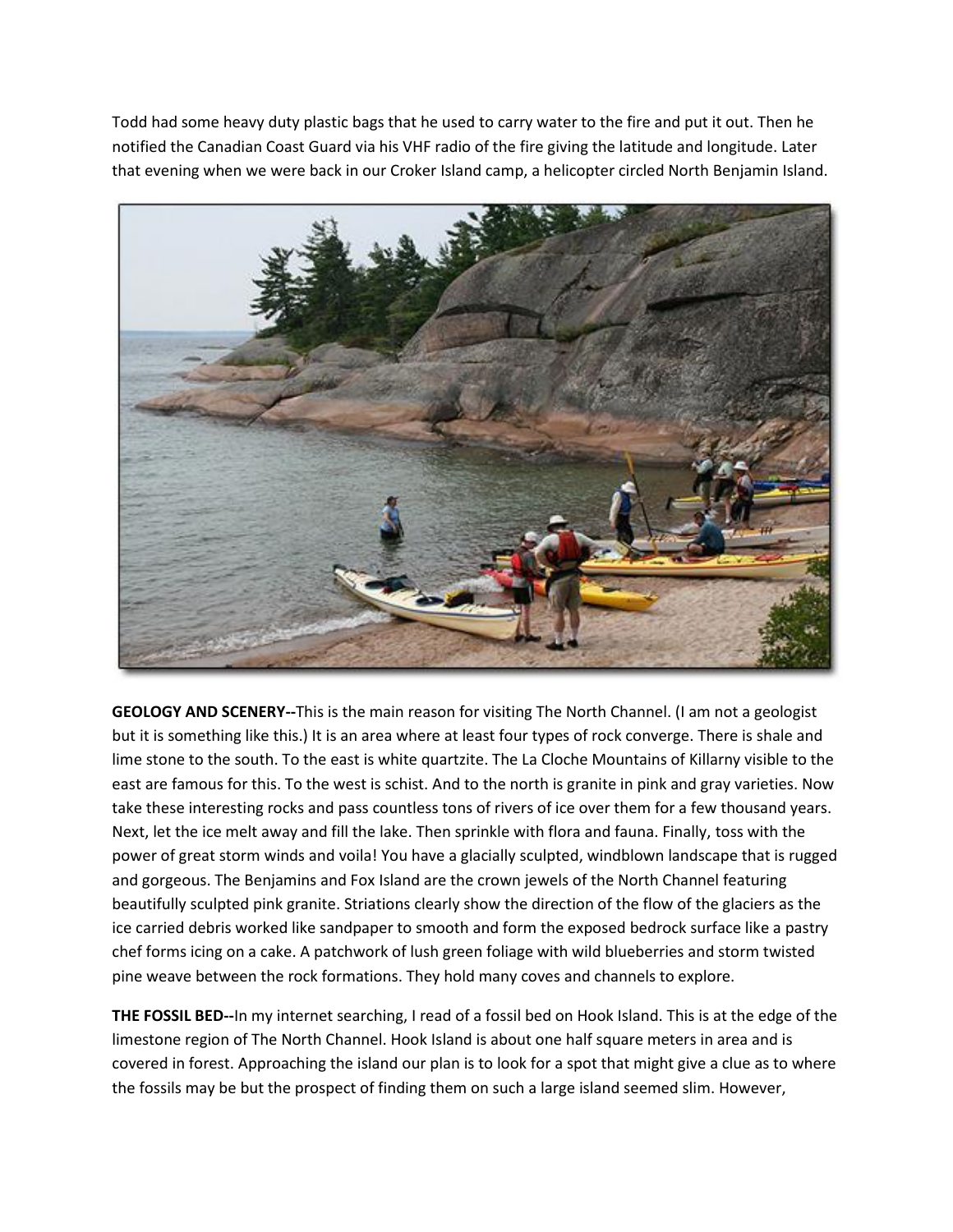Todd had some heavy duty plastic bags that he used to carry water to the fire and put it out. Then he notified the Canadian Coast Guard via his VHF radio of the fire giving the latitude and longitude. Later that evening when we were back in our Croker Island camp, a helicopter circled North Benjamin Island.



**GEOLOGY AND SCENERY--**This is the main reason for visiting The North Channel. (I am not a geologist but it is something like this.) It is an area where at least four types of rock converge. There is shale and lime stone to the south. To the east is white quartzite. The La Cloche Mountains of Killarny visible to the east are famous for this. To the west is schist. And to the north is granite in pink and gray varieties. Now take these interesting rocks and pass countless tons of rivers of ice over them for a few thousand years. Next, let the ice melt away and fill the lake. Then sprinkle with flora and fauna. Finally, toss with the power of great storm winds and voila! You have a glacially sculpted, windblown landscape that is rugged and gorgeous. The Benjamins and Fox Island are the crown jewels of the North Channel featuring beautifully sculpted pink granite. Striations clearly show the direction of the flow of the glaciers as the ice carried debris worked like sandpaper to smooth and form the exposed bedrock surface like a pastry chef forms icing on a cake. A patchwork of lush green foliage with wild blueberries and storm twisted pine weave between the rock formations. They hold many coves and channels to explore.

**THE FOSSIL BED--**In my internet searching, I read of a fossil bed on Hook Island. This is at the edge of the limestone region of The North Channel. Hook Island is about one half square meters in area and is covered in forest. Approaching the island our plan is to look for a spot that might give a clue as to where the fossils may be but the prospect of finding them on such a large island seemed slim. However,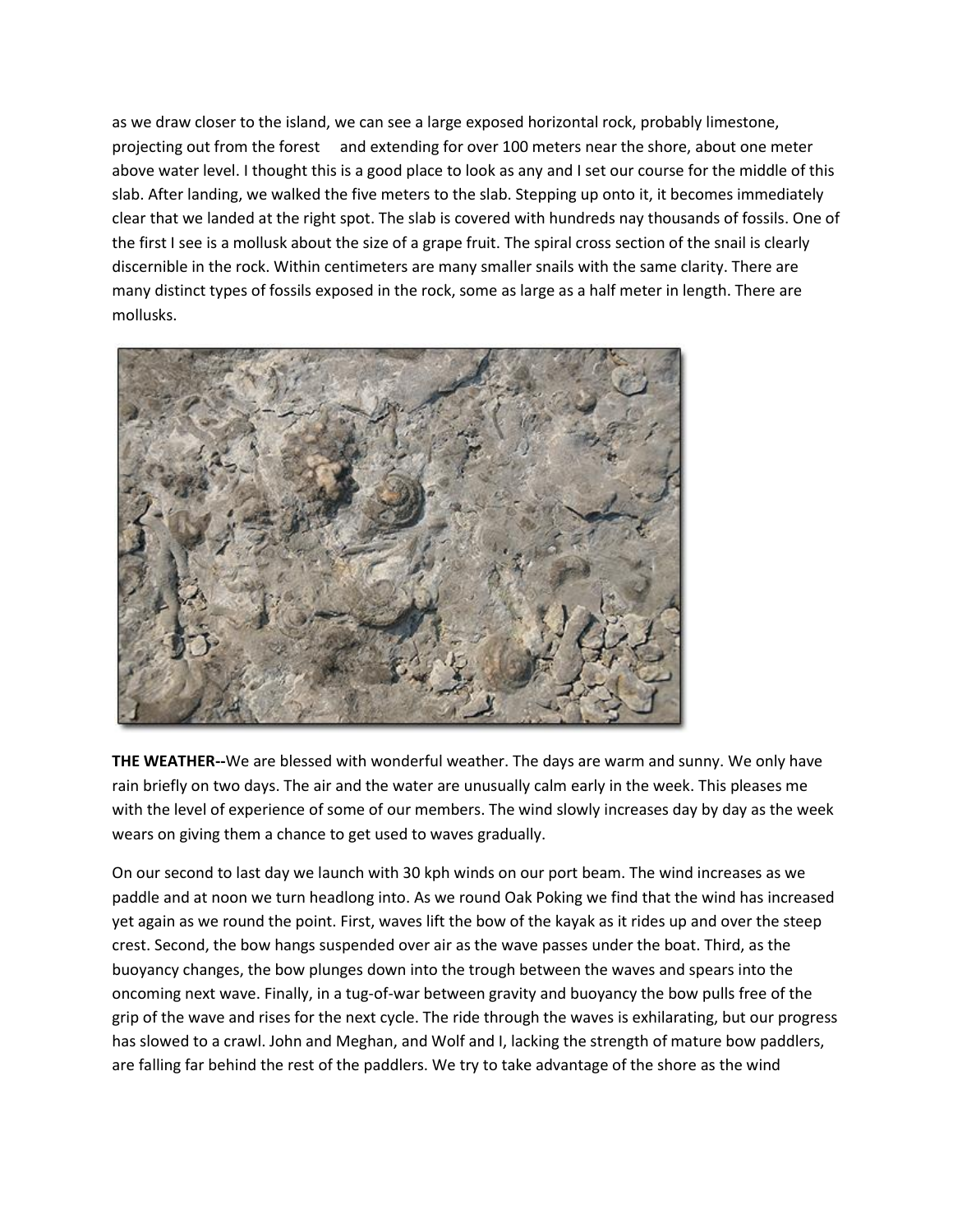as we draw closer to the island, we can see a large exposed horizontal rock, probably limestone, projecting out from the forest and extending for over 100 meters near the shore, about one meter above water level. I thought this is a good place to look as any and I set our course for the middle of this slab. After landing, we walked the five meters to the slab. Stepping up onto it, it becomes immediately clear that we landed at the right spot. The slab is covered with hundreds nay thousands of fossils. One of the first I see is a mollusk about the size of a grape fruit. The spiral cross section of the snail is clearly discernible in the rock. Within centimeters are many smaller snails with the same clarity. There are many distinct types of fossils exposed in the rock, some as large as a half meter in length. There are mollusks.



**THE WEATHER--**We are blessed with wonderful weather. The days are warm and sunny. We only have rain briefly on two days. The air and the water are unusually calm early in the week. This pleases me with the level of experience of some of our members. The wind slowly increases day by day as the week wears on giving them a chance to get used to waves gradually.

On our second to last day we launch with 30 kph winds on our port beam. The wind increases as we paddle and at noon we turn headlong into. As we round Oak Poking we find that the wind has increased yet again as we round the point. First, waves lift the bow of the kayak as it rides up and over the steep crest. Second, the bow hangs suspended over air as the wave passes under the boat. Third, as the buoyancy changes, the bow plunges down into the trough between the waves and spears into the oncoming next wave. Finally, in a tug-of-war between gravity and buoyancy the bow pulls free of the grip of the wave and rises for the next cycle. The ride through the waves is exhilarating, but our progress has slowed to a crawl. John and Meghan, and Wolf and I, lacking the strength of mature bow paddlers, are falling far behind the rest of the paddlers. We try to take advantage of the shore as the wind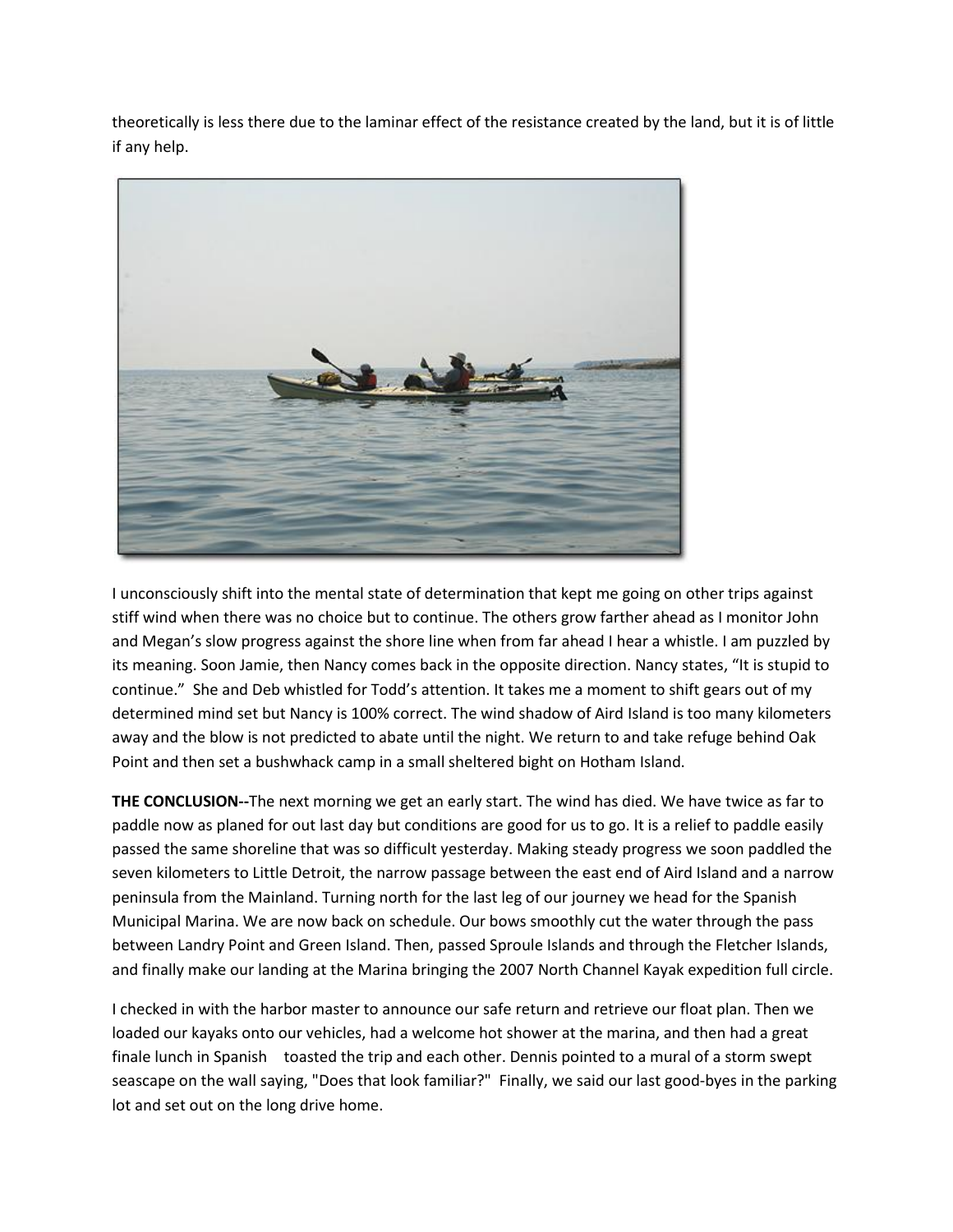theoretically is less there due to the laminar effect of the resistance created by the land, but it is of little if any help.



I unconsciously shift into the mental state of determination that kept me going on other trips against stiff wind when there was no choice but to continue. The others grow farther ahead as I monitor John and Megan's slow progress against the shore line when from far ahead I hear a whistle. I am puzzled by its meaning. Soon Jamie, then Nancy comes back in the opposite direction. Nancy states, "It is stupid to continue." She and Deb whistled for Todd's attention. It takes me a moment to shift gears out of my determined mind set but Nancy is 100% correct. The wind shadow of Aird Island is too many kilometers away and the blow is not predicted to abate until the night. We return to and take refuge behind Oak Point and then set a bushwhack camp in a small sheltered bight on Hotham Island.

**THE CONCLUSION--**The next morning we get an early start. The wind has died. We have twice as far to paddle now as planed for out last day but conditions are good for us to go. It is a relief to paddle easily passed the same shoreline that was so difficult yesterday. Making steady progress we soon paddled the seven kilometers to Little Detroit, the narrow passage between the east end of Aird Island and a narrow peninsula from the Mainland. Turning north for the last leg of our journey we head for the Spanish Municipal Marina. We are now back on schedule. Our bows smoothly cut the water through the pass between Landry Point and Green Island. Then, passed Sproule Islands and through the Fletcher Islands, and finally make our landing at the Marina bringing the 2007 North Channel Kayak expedition full circle.

I checked in with the harbor master to announce our safe return and retrieve our float plan. Then we loaded our kayaks onto our vehicles, had a welcome hot shower at the marina, and then had a great finale lunch in Spanish toasted the trip and each other. Dennis pointed to a mural of a storm swept seascape on the wall saying, "Does that look familiar?" Finally, we said our last good-byes in the parking lot and set out on the long drive home.